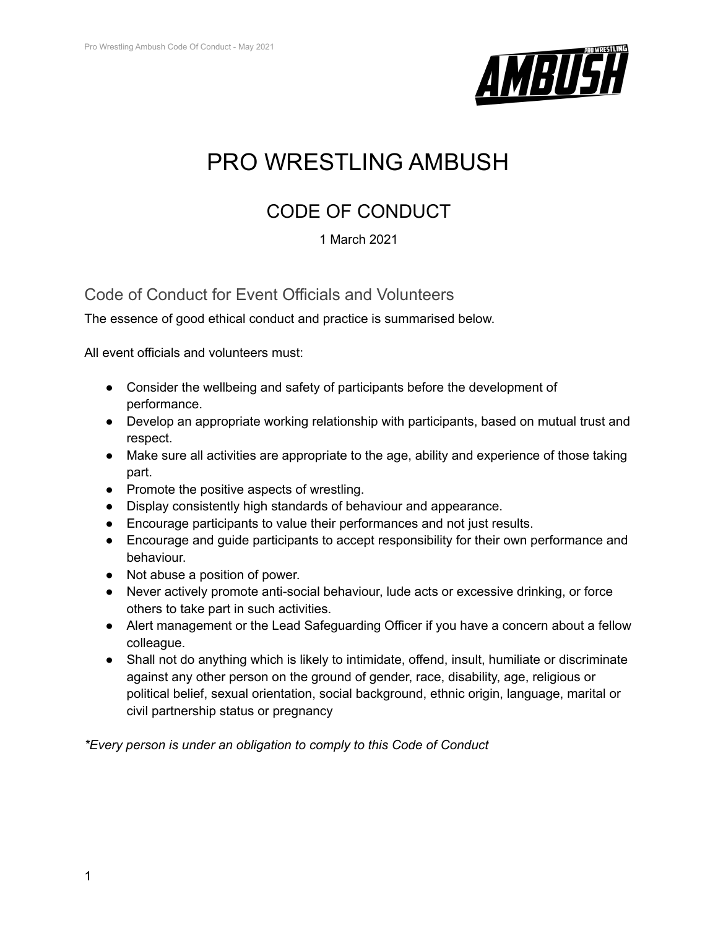

## PRO WRESTLING AMBUSH

## CODE OF CONDUCT

## 1 March 2021

Code of Conduct for Event Officials and Volunteers

The essence of good ethical conduct and practice is summarised below.

All event officials and volunteers must:

- Consider the wellbeing and safety of participants before the development of performance.
- Develop an appropriate working relationship with participants, based on mutual trust and respect.
- Make sure all activities are appropriate to the age, ability and experience of those taking part.
- Promote the positive aspects of wrestling.
- Display consistently high standards of behaviour and appearance.
- Encourage participants to value their performances and not just results.
- Encourage and guide participants to accept responsibility for their own performance and behaviour.
- Not abuse a position of power.
- Never actively promote anti-social behaviour, lude acts or excessive drinking, or force others to take part in such activities.
- Alert management or the Lead Safeguarding Officer if you have a concern about a fellow colleague.
- Shall not do anything which is likely to intimidate, offend, insult, humiliate or discriminate against any other person on the ground of gender, race, disability, age, religious or political belief, sexual orientation, social background, ethnic origin, language, marital or civil partnership status or pregnancy

*\*Every person is under an obligation to comply to this Code of Conduct*